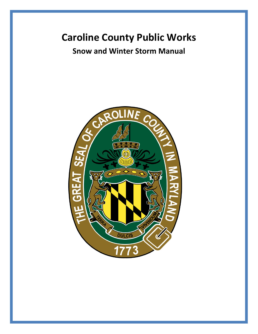# **Caroline County Public Works**

# **Snow and Winter Storm Manual**

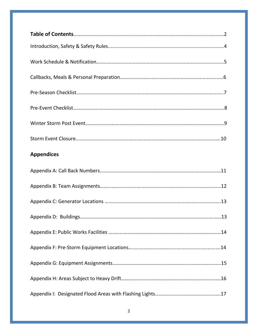| <b>Appendices</b> |
|-------------------|
|                   |
|                   |
|                   |
| 13                |
|                   |
|                   |
|                   |
|                   |
|                   |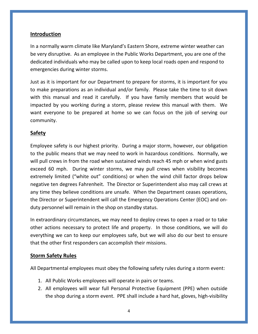#### **Introduction**

In a normally warm climate like Maryland's Eastern Shore, extreme winter weather can be very disruptive. As an employee in the Public Works Department, you are one of the dedicated individuals who may be called upon to keep local roads open and respond to emergencies during winter storms.

Just as it is important for our Department to prepare for storms, it is important for you to make preparations as an individual and/or family. Please take the time to sit down with this manual and read it carefully. If you have family members that would be impacted by you working during a storm, please review this manual with them. We want everyone to be prepared at home so we can focus on the job of serving our community.

### **Safety**

Employee safety is our highest priority. During a major storm, however, our obligation to the public means that we may need to work in hazardous conditions. Normally, we will pull crews in from the road when sustained winds reach 45 mph or when wind gusts exceed 60 mph. During winter storms, we may pull crews when visibility becomes extremely limited ("white out" conditions) or when the wind chill factor drops below negative ten degrees Fahrenheit. The Director or Superintendent also may call crews at any time they believe conditions are unsafe. When the Department ceases operations, the Director or Superintendent will call the Emergency Operations Center (EOC) and onduty personnel will remain in the shop on standby status.

In extraordinary circumstances, we may need to deploy crews to open a road or to take other actions necessary to protect life and property. In those conditions, we will do everything we can to keep our employees safe, but we will also do our best to ensure that the other first responders can accomplish their missions.

#### **Storm Safety Rules**

All Departmental employees must obey the following safety rules during a storm event:

- 1. All Public Works employees will operate in pairs or teams.
- 2. All employees will wear full Personal Protective Equipment (PPE) when outside the shop during a storm event. PPE shall include a hard hat, gloves, high-visibility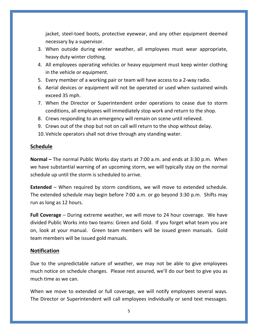jacket, steel-toed boots, protective eyewear, and any other equipment deemed necessary by a supervisor.

- 3. When outside during winter weather, all employees must wear appropriate, heavy duty winter clothing.
- 4. All employees operating vehicles or heavy equipment must keep winter clothing in the vehicle or equipment.
- 5. Every member of a working pair or team will have access to a 2-way radio.
- 6. Aerial devices or equipment will not be operated or used when sustained winds exceed 35 mph.
- 7. When the Director or Superintendent order operations to cease due to storm conditions, all employees will immediately stop work and return to the shop.
- 8. Crews responding to an emergency will remain on scene until relieved.
- 9. Crews out of the shop but not on call will return to the shop without delay.
- 10.Vehicle operators shall not drive through any standing water.

#### **Schedule**

**Normal –** The normal Public Works day starts at 7:00 a.m. and ends at 3:30 p.m. When we have substantial warning of an upcoming storm, we will typically stay on the normal schedule up until the storm is scheduled to arrive.

**Extended** – When required by storm conditions, we will move to extended schedule. The extended schedule may begin before 7:00 a.m. or go beyond 3:30 p.m. Shifts may run as long as 12 hours.

**Full Coverage** – During extreme weather, we will move to 24 hour coverage. We have divided Public Works into two teams: Green and Gold. If you forget what team you are on, look at your manual. Green team members will be issued green manuals. Gold team members will be issued gold manuals.

#### **Notification**

Due to the unpredictable nature of weather, we may not be able to give employees much notice on schedule changes. Please rest assured, we'll do our best to give you as much time as we can.

When we move to extended or full coverage, we will notify employees several ways. The Director or Superintendent will call employees individually or send text messages.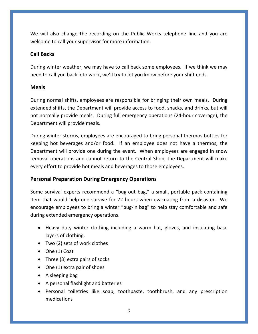We will also change the recording on the Public Works telephone line and you are welcome to call your supervisor for more information.

### **Call Backs**

During winter weather, we may have to call back some employees. If we think we may need to call you back into work, we'll try to let you know before your shift ends.

#### **Meals**

During normal shifts, employees are responsible for bringing their own meals. During extended shifts, the Department will provide access to food, snacks, and drinks, but will not normally provide meals. During full emergency operations (24-hour coverage), the Department will provide meals.

During winter storms, employees are encouraged to bring personal thermos bottles for keeping hot beverages and/or food. If an employee does not have a thermos, the Department will provide one during the event. When employees are engaged in snow removal operations and cannot return to the Central Shop, the Department will make every effort to provide hot meals and beverages to those employees.

### **Personal Preparation During Emergency Operations**

Some survival experts recommend a "bug-out bag," a small, portable pack containing item that would help one survive for 72 hours when evacuating from a disaster. We encourage employees to bring a winter "bug-in bag" to help stay comfortable and safe during extended emergency operations.

- Heavy duty winter clothing including a warm hat, gloves, and insulating base layers of clothing.
- Two (2) sets of work clothes
- One (1) Coat
- Three (3) extra pairs of socks
- One (1) extra pair of shoes
- A sleeping bag
- A personal flashlight and batteries
- Personal toiletries like soap, toothpaste, toothbrush, and any prescription medications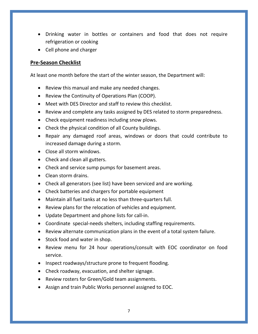- Drinking water in bottles or containers and food that does not require refrigeration or cooking
- Cell phone and charger

#### **Pre-Season Checklist**

At least one month before the start of the winter season, the Department will:

- Review this manual and make any needed changes.
- Review the Continuity of Operations Plan (COOP).
- Meet with DES Director and staff to review this checklist.
- Review and complete any tasks assigned by DES related to storm preparedness.
- Check equipment readiness including snow plows.
- Check the physical condition of all County buildings.
- Repair any damaged roof areas, windows or doors that could contribute to increased damage during a storm.
- Close all storm windows.
- Check and clean all gutters.
- Check and service sump pumps for basement areas.
- Clean storm drains.
- Check all generators (see list) have been serviced and are working.
- Check batteries and chargers for portable equipment
- Maintain all fuel tanks at no less than three-quarters full.
- Review plans for the relocation of vehicles and equipment.
- Update Department and phone lists for call-in.
- Coordinate special-needs shelters, including staffing requirements.
- Review alternate communication plans in the event of a total system failure.
- Stock food and water in shop.
- Review menu for 24 hour operations/consult with EOC coordinator on food service.
- Inspect roadways/structure prone to frequent flooding.
- Check roadway, evacuation, and shelter signage.
- Review rosters for Green/Gold team assignments.
- Assign and train Public Works personnel assigned to EOC.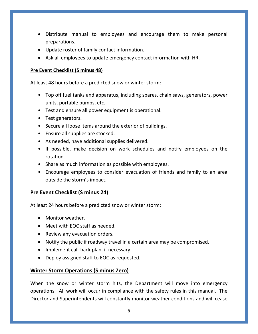- Distribute manual to employees and encourage them to make personal preparations.
- Update roster of family contact information.
- Ask all employees to update emergency contact information with HR.

#### **Pre Event Checklist (S minus 48)**

At least 48 hours before a predicted snow or winter storm:

- Top off fuel tanks and apparatus, including spares, chain saws, generators, power units, portable pumps, etc.
- Test and ensure all power equipment is operational.
- Test generators.
- Secure all loose items around the exterior of buildings.
- Ensure all supplies are stocked.
- As needed, have additional supplies delivered.
- If possible, make decision on work schedules and notify employees on the rotation.
- Share as much information as possible with employees.
- Encourage employees to consider evacuation of friends and family to an area outside the storm's impact.

#### **Pre Event Checklist (S minus 24)**

At least 24 hours before a predicted snow or winter storm:

- Monitor weather.
- Meet with EOC staff as needed.
- Review any evacuation orders.
- Notify the public if roadway travel in a certain area may be compromised.
- Implement call-back plan, if necessary.
- Deploy assigned staff to EOC as requested.

#### **Winter Storm Operations (S minus Zero)**

When the snow or winter storm hits, the Department will move into emergency operations. All work will occur in compliance with the safety rules in this manual. The Director and Superintendents will constantly monitor weather conditions and will cease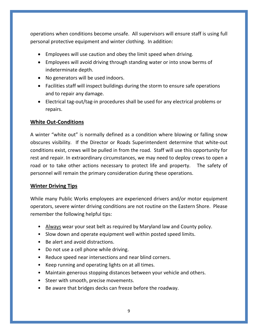operations when conditions become unsafe. All supervisors will ensure staff is using full personal protective equipment and winter clothing. In addition:

- Employees will use caution and obey the limit speed when driving.
- Employees will avoid driving through standing water or into snow berms of indeterminate depth.
- No generators will be used indoors.
- Facilities staff will inspect buildings during the storm to ensure safe operations and to repair any damage.
- Electrical tag-out/tag-in procedures shall be used for any electrical problems or repairs.

#### **White Out-Conditions**

A winter "white out" is normally defined as a condition where blowing or falling snow obscures visibility. If the Director or Roads Superintendent determine that white-out conditions exist, crews will be pulled in from the road. Staff will use this opportunity for rest and repair. In extraordinary circumstances, we may need to deploy crews to open a road or to take other actions necessary to protect life and property. The safety of personnel will remain the primary consideration during these operations.

#### **Winter Driving Tips**

While many Public Works employees are experienced drivers and/or motor equipment operators, severe winter driving conditions are not routine on the Eastern Shore. Please remember the following helpful tips:

- Always wear your seat belt as required by Maryland law and County policy.
- Slow down and operate equipment well within posted speed limits.
- Be alert and avoid distractions.
- Do not use a cell phone while driving.
- Reduce speed near intersections and near blind corners.
- Keep running and operating lights on at all times.
- Maintain generous stopping distances between your vehicle and others.
- Steer with smooth, precise movements.
- Be aware that bridges decks can freeze before the roadway.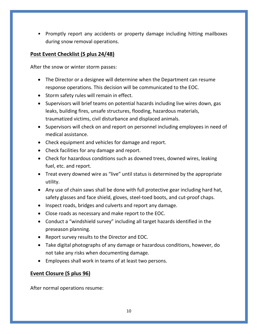• Promptly report any accidents or property damage including hitting mailboxes during snow removal operations.

### **Post Event Checklist (S plus 24/48)**

After the snow or winter storm passes:

- The Director or a designee will determine when the Department can resume response operations. This decision will be communicated to the EOC.
- Storm safety rules will remain in effect.
- Supervisors will brief teams on potential hazards including live wires down, gas leaks, building fires, unsafe structures, flooding, hazardous materials, traumatized victims, civil disturbance and displaced animals.
- Supervisors will check on and report on personnel including employees in need of medical assistance.
- Check equipment and vehicles for damage and report.
- Check facilities for any damage and report.
- Check for hazardous conditions such as downed trees, downed wires, leaking fuel, etc. and report.
- Treat every downed wire as "live" until status is determined by the appropriate utility.
- Any use of chain saws shall be done with full protective gear including hard hat, safety glasses and face shield, gloves, steel-toed boots, and cut-proof chaps.
- Inspect roads, bridges and culverts and report any damage.
- Close roads as necessary and make report to the EOC.
- Conduct a "windshield survey" including all target hazards identified in the preseason planning.
- Report survey results to the Director and EOC.
- Take digital photographs of any damage or hazardous conditions, however, do not take any risks when documenting damage.
- Employees shall work in teams of at least two persons.

### **Event Closure (S plus 96)**

After normal operations resume: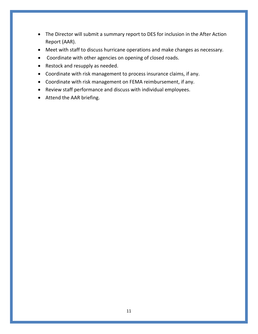- The Director will submit a summary report to DES for inclusion in the After Action Report (AAR).
- Meet with staff to discuss hurricane operations and make changes as necessary.
- Coordinate with other agencies on opening of closed roads.
- Restock and resupply as needed.
- Coordinate with risk management to process insurance claims, if any.
- Coordinate with risk management on FEMA reimbursement, if any.
- Review staff performance and discuss with individual employees.
- Attend the AAR briefing.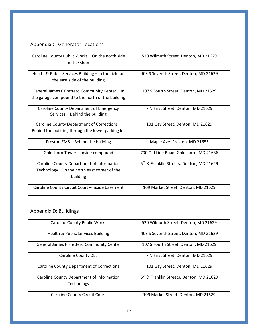# Appendix C: Generator Locations

| Caroline County Public Works - On the north side<br>of the shop                                       | 520 Wilmuth Street. Denton, MD 21629                 |
|-------------------------------------------------------------------------------------------------------|------------------------------------------------------|
| Health & Public Services Building - In the field on<br>the east side of the building                  | 403 S Seventh Street. Denton, MD 21629               |
| General James F Fretterd Community Center - In<br>the garage compound to the north of the building    | 107 S Fourth Street. Denton, MD 21629                |
| Caroline County Department of Emergency<br>Services - Behind the building                             | 7 N First Street. Denton, MD 21629                   |
| Caroline County Department of Corrections -<br>Behind the building through the lower parking lot      | 101 Gay Street. Denton, MD 21629                     |
| Preston EMS - Behind the building                                                                     | Maple Ave. Preston, MD 21655                         |
| Goldsboro Tower - Inside compound                                                                     | 700 Old Line Road. Goldsboro, MD 21636               |
| Caroline County Department of Information<br>Technology - On the north east corner of the<br>building | 5 <sup>th</sup> & Franklin Streets. Denton, MD 21629 |
| Caroline County Circuit Court - Inside basement                                                       | 109 Market Street. Denton, MD 21629                  |

# Appendix D: Buildings

| <b>Caroline County Public Works</b>                     | 520 Wilmuth Street. Denton, MD 21629                 |
|---------------------------------------------------------|------------------------------------------------------|
| Health & Public Services Building                       | 403 S Seventh Street. Denton, MD 21629               |
| <b>General James F Fretterd Community Center</b>        | 107 S Fourth Street. Denton, MD 21629                |
| <b>Caroline County DES</b>                              | 7 N First Street. Denton, MD 21629                   |
| <b>Caroline County Department of Corrections</b>        | 101 Gay Street. Denton, MD 21629                     |
| Caroline County Department of Information<br>Technology | 5 <sup>th</sup> & Franklin Streets. Denton, MD 21629 |
| <b>Caroline County Circuit Court</b>                    | 109 Market Street. Denton, MD 21629                  |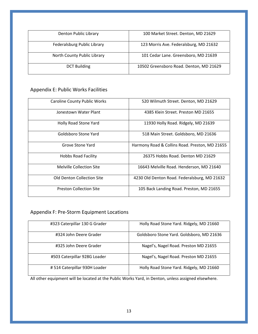| Denton Public Library       | 100 Market Street. Denton, MD 21629     |
|-----------------------------|-----------------------------------------|
| Federalsburg Public Library | 123 Morris Ave. Federalsburg, MD 21632  |
| North County Public Library | 101 Cedar Lane. Greensboro, MD 21639    |
| <b>DCT Building</b>         | 10502 Greensboro Road. Denton, MD 21629 |

#### Appendix E: Public Works Facilities

| <b>Caroline County Public Works</b> | 520 Wilmuth Street. Denton, MD 21629           |
|-------------------------------------|------------------------------------------------|
| Jonestown Water Plant               | 4385 Klein Street. Preston MD 21655            |
| Holly Road Stone Yard               | 11930 Holly Road. Ridgely, MD 21639            |
| Goldsboro Stone Yard                | 518 Main Street. Goldsboro, MD 21636           |
| Grove Stone Yard                    | Harmony Road & Collins Road. Preston, MD 21655 |
| <b>Hobbs Road Facility</b>          | 26375 Hobbs Road, Denton MD 21629              |
| Melville Collection Site            | 16643 Melville Road. Henderson, MD 21640       |
| Old Denton Collection Site          | 4230 Old Denton Road. Federalsburg, MD 21632   |
| <b>Preston Collection Site</b>      | 105 Back Landing Road. Preston, MD 21655       |

### Appendix F: Pre-Storm Equipment Locations

| #323 Caterpillar 130 G Grader | Holly Road Stone Yard. Ridgely, MD 21660  |
|-------------------------------|-------------------------------------------|
| #324 John Deere Grader        | Goldsboro Stone Yard. Goldsboro, MD 21636 |
| #325 John Deere Grader        | Nagel's, Nagel Road. Preston MD 21655     |
| #503 Caterpillar 928G Loader  | Nagel's, Nagel Road. Preston MD 21655     |
| #514 Caterpillar 930H Loader  | Holly Road Stone Yard. Ridgely, MD 21660  |

All other equipment will be located at the Public Works Yard, in Denton, unless assigned elsewhere.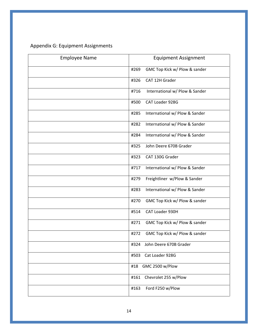# Appendix G: Equipment Assignments

| <b>Employee Name</b> | <b>Equipment Assignment</b>            |
|----------------------|----------------------------------------|
|                      | GMC Top Kick w/ Plow & sander<br>#269  |
|                      | CAT 12H Grader<br>#326                 |
|                      | #716<br>International w/ Plow & Sander |
|                      | CAT Loader 928G<br>#500                |
|                      | International w/ Plow & Sander<br>#285 |
|                      | #282<br>International w/ Plow & Sander |
|                      | International w/ Plow & Sander<br>#284 |
|                      | John Deere 670B Grader<br>#325         |
|                      | CAT 130G Grader<br>#323                |
|                      | International w/ Plow & Sander<br>#717 |
|                      | Freightliner w/Plow & Sander<br>#279   |
|                      | International w/ Plow & Sander<br>#283 |
|                      | GMC Top Kick w/ Plow & sander<br>#270  |
|                      | CAT Loader 930H<br>#514                |
|                      | #271<br>GMC Top Kick w/ Plow & sander  |
|                      | GMC Top Kick w/ Plow & sander<br>#272  |
|                      | #324<br>John Deere 670B Grader         |
|                      | Cat Loader 928G<br>#503                |
|                      | GMC 2500 w/Plow<br>#18                 |
|                      | Chevrolet 255 w/Plow<br>#161           |
|                      | Ford F250 w/Plow<br>#163               |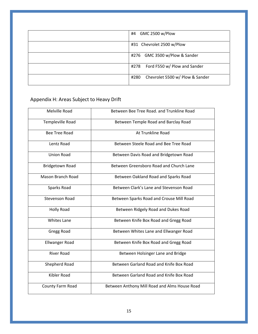| GMC 2500 w/Plow<br>#4                   |
|-----------------------------------------|
| #31 Chevrolet 2500 w/Plow               |
| #276 GMC 3500 w/Plow & Sander           |
| Ford F550 w/ Plow and Sander<br>#278    |
| Chevrolet 5500 w/ Plow & Sander<br>#280 |

# Appendix H: Areas Subject to Heavy Drift

| Melville Road            | Between Bee Tree Road. and Trunkline Road     |
|--------------------------|-----------------------------------------------|
| Templeville Road         | Between Temple Road and Barclay Road          |
| <b>Bee Tree Road</b>     | At Trunkline Road                             |
| Lentz Road               | Between Steele Road and Bee Tree Road         |
| <b>Union Road</b>        | Between Davis Road and Bridgetown Road        |
| <b>Bridgetown Road</b>   | Between Greensboro Road and Church Lane       |
| <b>Mason Branch Road</b> | Between Oakland Road and Sparks Road          |
| Sparks Road              | Between Clark's Lane and Stevenson Road       |
| <b>Stevenson Road</b>    | Between Sparks Road and Crouse Mill Road      |
| <b>Holly Road</b>        | Between Ridgely Road and Dukes Road           |
| <b>Whites Lane</b>       | Between Knife Box Road and Gregg Road         |
| Gregg Road               | Between Whites Lane and Ellwanger Road        |
| <b>Ellwanger Road</b>    | Between Knife Box Road and Gregg Road         |
| <b>River Road</b>        | Between Holsinger Lane and Bridge             |
| Shepherd Road            | Between Garland Road and Knife Box Road       |
| <b>Kibler Road</b>       | Between Garland Road and Knife Box Road       |
| County Farm Road         | Between Anthony Mill Road and Alms House Road |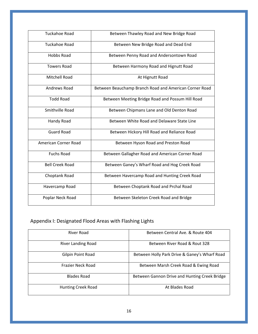| <b>Tuckahoe Road</b>   | Between Thawley Road and New Bridge Road               |
|------------------------|--------------------------------------------------------|
| Tuckahoe Road          | Between New Bridge Road and Dead End                   |
| Hobbs Road             | Between Penny Road and Andersontown Road               |
| <b>Towers Road</b>     | Between Harmony Road and Hignutt Road                  |
| Mitchell Road          | At Hignutt Road                                        |
| Andrews Road           | Between Beauchamp Branch Road and American Corner Road |
| <b>Todd Road</b>       | Between Meeting Bridge Road and Possum Hill Road       |
| Smithville Road        | Between Chipmans Lane and Old Denton Road              |
| <b>Handy Road</b>      | Between White Road and Delaware State Line             |
| <b>Guard Road</b>      | Between Hickory Hill Road and Reliance Road            |
| American Corner Road   | Between Hyson Road and Preston Road                    |
| <b>Fuchs Road</b>      | Between Gallagher Road and American Corner Road        |
| <b>Bell Creek Road</b> | Between Ganey's Wharf Road and Hog Creek Road          |
| Choptank Road          | Between Havercamp Road and Hunting Creek Road          |
| Havercamp Road         | Between Choptank Road and Prchal Road                  |
| Poplar Neck Road       | Between Skeleton Creek Road and Bridge                 |

# Appendix I: Designated Flood Areas with Flashing Lights

| River Road                | Between Central Ave. & Route 404              |
|---------------------------|-----------------------------------------------|
| <b>River Landing Road</b> | Between River Road & Rout 328                 |
| Gilpin Point Road         | Between Holly Park Drive & Ganey's Wharf Road |
| Frazier Neck Road         | Between Marsh Creek Road & Ewing Road         |
| <b>Blades Road</b>        | Between Gannon Drive and Hunting Creek Bridge |
| <b>Hunting Creek Road</b> | At Blades Road                                |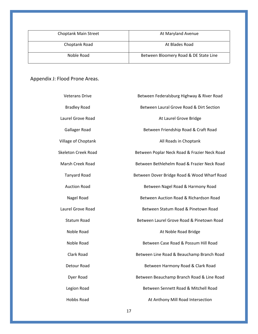| <b>Choptank Main Street</b> | At Maryland Avenue                    |
|-----------------------------|---------------------------------------|
| Choptank Road               | At Blades Road                        |
| Noble Road                  | Between Bloomery Road & DE State Line |

Appendix J: Flood Prone Areas.

| <b>Veterans Drive</b>      | Between Federalsburg Highway & River Road    |
|----------------------------|----------------------------------------------|
| <b>Bradley Road</b>        | Between Laural Grove Road & Dirt Section     |
| Laurel Grove Road          | At Laurel Grove Bridge                       |
| Gallager Road              | Between Friendship Road & Craft Road         |
| Village of Choptank        | All Roads in Choptank                        |
| <b>Skeleton Creek Road</b> | Between Poplar Neck Road & Frazier Neck Road |
| Marsh Creek Road           | Between Bethlehelm Road & Frazier Neck Road  |
| <b>Tanyard Road</b>        | Between Dover Bridge Road & Wood Wharf Road  |
| <b>Auction Road</b>        | Between Nagel Road & Harmony Road            |
| Nagel Road                 | Between Auction Road & Richardson Road       |
| Laurel Grove Road          | Between Statum Road & Pinetown Road          |
| <b>Statum Road</b>         | Between Laurel Grove Road & Pinetown Road    |
| Noble Road                 | At Noble Road Bridge                         |
| Noble Road                 | Between Case Road & Possum Hill Road         |
| Clark Road                 | Between Line Road & Beauchamp Branch Road    |
| Detour Road                | Between Harmony Road & Clark Road            |
| Dyer Road                  | Between Beauchamp Branch Road & Line Road    |
| Legion Road                | Between Sennett Road & Mitchell Road         |
| <b>Hobbs Road</b>          | At Anthony Mill Road Intersection            |
|                            |                                              |

17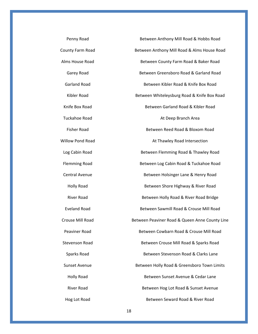| Penny Road              | Between Anthony Mill Road & Hobbs Road         |
|-------------------------|------------------------------------------------|
| County Farm Road        | Between Anthony Mill Road & Alms House Road    |
| Alms House Road         | Between County Farm Road & Baker Road          |
| Garey Road              | Between Greensboro Road & Garland Road         |
| <b>Garland Road</b>     | Between Kibler Road & Knife Box Road           |
| Kibler Road             | Between Whiteleysburg Road & Knife Box Road    |
| Knife Box Road          | Between Garland Road & Kibler Road             |
| <b>Tuckahoe Road</b>    | At Deep Branch Area                            |
| <b>Fisher Road</b>      | Between Reed Road & Bloxom Road                |
| <b>Willow Pond Road</b> | At Thawley Road Intersection                   |
| Log Cabin Road          | Between Flemming Road & Thawley Road           |
| <b>Flemming Road</b>    | Between Log Cabin Road & Tuckahoe Road         |
| <b>Central Avenue</b>   | Between Holsinger Lane & Henry Road            |
| <b>Holly Road</b>       | Between Shore Highway & River Road             |
| <b>River Road</b>       | Between Holly Road & River Road Bridge         |
| <b>Eveland Road</b>     | Between Sawmill Road & Crouse Mill Road        |
| Crouse Mill Road        | Between Peaviner Road & Queen Anne County Line |
| Peaviner Road           | Between Cowbarn Road & Crouse Mill Road        |
| <b>Stevenson Road</b>   | Between Crouse Mill Road & Sparks Road         |
| Sparks Road             | Between Stevenson Road & Clarks Lane           |
| <b>Sunset Avenue</b>    | Between Holly Road & Greensboro Town Limits    |
| <b>Holly Road</b>       | Between Sunset Avenue & Cedar Lane             |
| River Road              | Between Hog Lot Road & Sunset Avenue           |
| Hog Lot Road            | Between Seward Road & River Road               |

18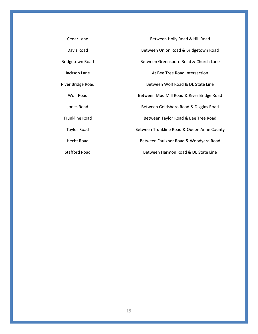| Cedar Lane             | Between Holly Road & Hill Road             |
|------------------------|--------------------------------------------|
| Davis Road             | Between Union Road & Bridgetown Road       |
| <b>Bridgetown Road</b> | Between Greensboro Road & Church Lane      |
| Jackson Lane           | At Bee Tree Road Intersection              |
| River Bridge Road      | Between Wolf Road & DE State Line          |
| Wolf Road              | Between Mud Mill Road & River Bridge Road  |
| Jones Road             | Between Goldsboro Road & Diggins Road      |
| <b>Trunkline Road</b>  | Between Taylor Road & Bee Tree Road        |
| <b>Taylor Road</b>     | Between Trunkline Road & Queen Anne County |
| Hecht Road             | Between Faulkner Road & Woodyard Road      |
| Stafford Road          | Between Harmon Road & DE State Line        |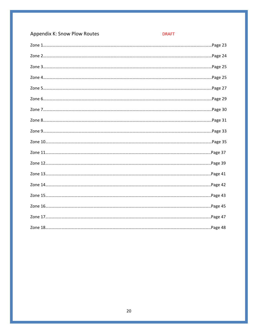| <b>Appendix K: Snow Plow Routes</b> | <b>DRAFT</b> |
|-------------------------------------|--------------|
|                                     |              |
|                                     |              |
|                                     |              |
|                                     |              |
|                                     |              |
|                                     |              |
|                                     |              |
|                                     |              |
|                                     |              |
|                                     |              |
|                                     |              |
|                                     |              |
|                                     |              |
|                                     |              |
|                                     |              |
|                                     |              |
|                                     |              |
|                                     |              |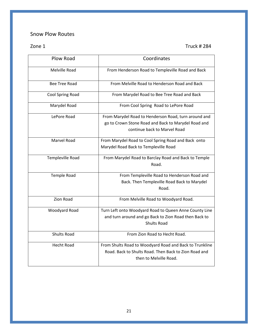### Snow Plow Routes

Zone 1 Truck # 284

| <b>Plow Road</b>     | Coordinates                                                                                                                                 |
|----------------------|---------------------------------------------------------------------------------------------------------------------------------------------|
| Melville Road        | From Henderson Road to Templeville Road and Back                                                                                            |
| <b>Bee Tree Road</b> | From Melville Road to Henderson Road and Back                                                                                               |
| Cool Spring Road     | From Marydel Road to Bee Tree Road and Back                                                                                                 |
| Marydel Road         | From Cool Spring Road to LePore Road                                                                                                        |
| LePore Road          | From Marydel Road to Henderson Road, turn around and<br>go to Crown Stone Road and Back to Marydel Road and<br>continue back to Marvel Road |
| <b>Marvel Road</b>   | From Marydel Road to Cool Spring Road and Back onto<br>Marydel Road Back to Templeville Road                                                |
| Templeville Road     | From Marydel Road to Barclay Road and Back to Temple<br>Road.                                                                               |
| <b>Temple Road</b>   | From Templeville Road to Henderson Road and<br>Back. Then Templeville Road Back to Marydel<br>Road.                                         |
| <b>Zion Road</b>     | From Melville Road to Woodyard Road.                                                                                                        |
| Woodyard Road        | Turn Left onto Woodyard Road to Queen Anne County Line<br>and turn around and go Back to Zion Road then Back to<br><b>Shults Road</b>       |
| <b>Shults Road</b>   | From Zion Road to Hecht Road.                                                                                                               |
| <b>Hecht Road</b>    | From Shults Road to Woodyard Road and Back to Trunkline<br>Road. Back to Shults Road. Then Back to Zion Road and<br>then to Melville Road.  |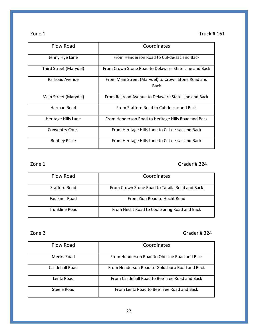| r<br>г. |  |
|---------|--|
|         |  |

Truck  $# 161$ 

| Plow Road              | Coordinates                                                       |
|------------------------|-------------------------------------------------------------------|
| Jenny Hye Lane         | From Henderson Road to Cul-de-sac and Back                        |
| Third Street (Marydel) | From Crown Stone Road to Delaware State Line and Back             |
| Railroad Avenue        | From Main Street (Marydel) to Crown Stone Road and<br><b>Back</b> |
| Main Street (Marydel)  | From Railroad Avenue to Delaware State Line and Back              |
| Harman Road            | From Stafford Road to Cul-de-sac and Back                         |
| Heritage Hills Lane    | From Henderson Road to Heritage Hills Road and Back               |
| <b>Conventry Court</b> | From Heritage Hills Lane to Cul-de-sac and Back                   |
| <b>Bentley Place</b>   | From Heritage Hills Lane to Cul-de-sac and Back                   |

#### Zone 1 Grader # 324

| Plow Road      | Coordinates                                    |
|----------------|------------------------------------------------|
| Stafford Road  | From Crown Stone Road to Taraila Road and Back |
| Faulkner Road  | From Zion Road to Hecht Road                   |
| Trunkline Road | From Hecht Road to Cool Spring Road and Back   |

#### Zone 2 Grader # 324

| Plow Road       | Coordinates                                    |
|-----------------|------------------------------------------------|
| Meeks Road      | From Henderson Road to Old Line Road and Back  |
| Castlehall Road | From Henderson Road to Goldsboro Road and Back |
| Lentz Road      | From Castlehall Road to Bee Tree Road and Back |
| Steele Road     | From Lentz Road to Bee Tree Road and Back      |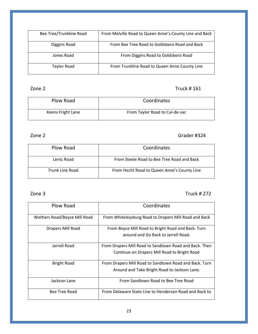| Bee Tree/Trunkline Road | From Melville Road to Queen Anne's County Line and Back |
|-------------------------|---------------------------------------------------------|
| Diggins Road            | From Bee Tree Road to Goldsboro Road and Back           |
| Jones Road              | From Diggins Road to Goldsboro Road                     |
| Taylor Road             | From Trunkline Road to Queen Anne County Line           |

### Zone 2 Truck # 161

| Plow Road         | Coordinates                    |
|-------------------|--------------------------------|
| Keens Fright Lane | From Taylor Road to Cul-de-sac |

### zone 2 Grader #324

| Plow Road       | Coordinates                                 |
|-----------------|---------------------------------------------|
| Lentz Road      | From Steele Road to Bee Tree Road and Back  |
| Trunk Line Road | From Hecht Road to Queen Anne's County Line |

#### Zone 3 Truck # 272

| Plow Road                    | Coordinates                                                                                            |
|------------------------------|--------------------------------------------------------------------------------------------------------|
| Wothers Road/Boyce Mill Road | From Whiteleysburg Road to Drapers Mill Road and Back                                                  |
| Drapers Mill Road            | From Boyce Mill Road to Bright Road and Back. Turn<br>around and Go Back to Jarrell Road.              |
| Jarrell Road                 | From Drapers Mill Road to Sandtown Road and Back. Then<br>Continue on Drapers Mill Road to Bright Road |
| <b>Bright Road</b>           | From Drapers Mill Road to Sandtown Road and Back. Turn<br>Around and Take Bright Road to Jackson Lane. |
| Jackson Lane                 | From Sandtown Road to Bee Tree Road                                                                    |
| Bee Tree Road                | From Delaware State Line to Henderson Road and Back to                                                 |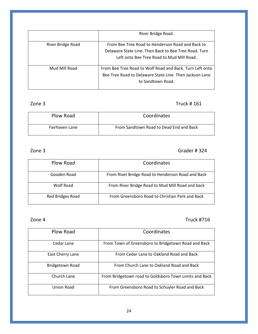|                   | River Bridge Road.                                                                                        |
|-------------------|-----------------------------------------------------------------------------------------------------------|
| River Bridge Road | From Bee Tree Road to Henderson Road and Back to<br>Delaware State Line. Then Back to Bee Tree Road. Turn |
|                   | Left onto Bee Tree Road to Mud Mill Road.                                                                 |
| Mud Mill Road     | From Bee Tree Road to Wolf Road and Back. Turn Left onto                                                  |
|                   | Bee Tree Road to Delaware State Line. Then Jackson Lane                                                   |
|                   | to Sandtown Road.                                                                                         |

### Zone 3 Truck # 161

| Plow Road      | Coordinates                             |
|----------------|-----------------------------------------|
| Fairhaven Lane | From Sandtown Road to Dead End and Back |

### Zone 3 Grader # 324

| Plow Road        | Coordinates                                       |
|------------------|---------------------------------------------------|
| Gooden Road      | From River Bridge Road to Henderson Road and Back |
| Wolf Road        | From River Bridge Road to Mud Mill Road and back  |
| Red Bridges Road | From Greensboro Road to Christian Park and Back   |

### Zone 4 Truck #716

| Plow Road        | Coordinates                                            |
|------------------|--------------------------------------------------------|
| Cedar Lane       | From Town of Greensboro to Bridgetown Road and Back    |
| East Cherry Lane | From Cedar Lane to Oakland Road and Back               |
| Bridgetown Road  | From Church Lane to Oakland Road and Back              |
| Church Lane      | From Bridgetown road to Goldsboro Town Limits and Back |
| Union Road       | From Greensboro Road to Schuyler Road and Back         |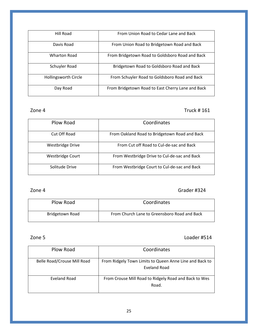| Hill Road                   | From Union Road to Cedar Lane and Back            |
|-----------------------------|---------------------------------------------------|
| Davis Road                  | From Union Road to Bridgetown Road and Back       |
| <b>Wharton Road</b>         | From Bridgetown Road to Goldsboro Road and Back   |
| Schuyler Road               | Bridgetown Road to Goldsboro Road and Back        |
| <b>Hollingsworth Circle</b> | From Schuyler Road to Goldsboro Road and Back     |
| Day Road                    | From Bridgetown Road to East Cherry Lane and Back |

#### Zone 4 Truck # 161

| Plow Road               | Coordinates                                   |
|-------------------------|-----------------------------------------------|
| Cut Off Road            | From Oakland Road to Bridgetown Road and Back |
| <b>Westbridge Drive</b> | From Cut off Road to Cul-de-sac and Back      |
| Westbridge Court        | From Westbridge Drive to Cul-de-sac and Back  |
| Solitude Drive          | From Westbridge Court to Cul-de-sac and Back  |

#### Zone 4 Grader #324

| Plow Road       | Coordinates                                  |
|-----------------|----------------------------------------------|
| Bridgetown Road | From Church Lane to Greensboro Road and Back |

#### Zone 5 Loader #514

| Plow Road                   | Coordinates                                                             |
|-----------------------------|-------------------------------------------------------------------------|
| Belle Road/Crouse Mill Road | From Ridgely Town Limits to Queen Anne Line and Back to<br>Eveland Road |
| Eveland Road                | From Crouse Mill Road to Ridgely Road and Back to Wes<br>Road.          |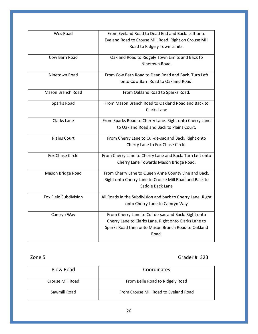| Wes Road                | From Eveland Road to Dead End and Back. Left onto           |
|-------------------------|-------------------------------------------------------------|
|                         | Eveland Road to Crouse Mill Road. Right on Crouse Mill      |
|                         | Road to Ridgely Town Limits.                                |
| Cow Barn Road           | Oakland Road to Ridgely Town Limits and Back to             |
|                         | Ninetown Road.                                              |
| Ninetown Road           | From Cow Barn Road to Dean Road and Back. Turn Left         |
|                         | onto Cow Barn Road to Oakland Road.                         |
| Mason Branch Road       | From Oakland Road to Sparks Road.                           |
| Sparks Road             | From Mason Branch Road to Oakland Road and Back to          |
|                         | Clarks Lane                                                 |
| Clarks Lane             | From Sparks Road to Cherry Lane. Right onto Cherry Lane     |
|                         | to Oakland Road and Back to Plains Court.                   |
| <b>Plains Court</b>     | From Cherry Lane to Cul-de-sac and Back. Right onto         |
|                         | Cherry Lane to Fox Chase Circle.                            |
| <b>Fox Chase Circle</b> | From Cherry Lane to Cherry Lane and Back. Turn Left onto    |
|                         | Cherry Lane Towards Mason Bridge Road.                      |
| Mason Bridge Road       | From Cherry Lane to Queen Anne County Line and Back.        |
|                         | Right onto Cherry Lane to Crouse Mill Road and Back to      |
|                         | Saddle Back Lane                                            |
| Fox Field Subdivision   | All Roads in the Subdivision and back to Cherry Lane. Right |
|                         | onto Cherry Lane to Camryn Way                              |
| Camryn Way              | From Cherry Lane to Cul-de-sac and Back. Right onto         |
|                         | Cherry Lane to Clarks Lane. Right onto Clarks Lane to       |
|                         | Sparks Road then onto Mason Branch Road to Oakland          |
|                         | Road.                                                       |
|                         |                                                             |

Zone 5 Grader # 323

| Plow Road        | Coordinates                           |
|------------------|---------------------------------------|
| Crouse Mill Road | From Belle Road to Ridgely Road       |
| Sawmill Road     | From Crouse Mill Road to Eveland Road |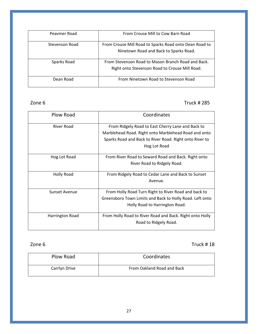| Peaviner Road  | From Crouse Mill to Cow Barn Road                                                                    |
|----------------|------------------------------------------------------------------------------------------------------|
| Stevenson Road | From Crouse Mill Road to Sparks Road onto Dean Road to<br>Ninetown Road and Back to Sparks Road.     |
| Sparks Road    | From Stevenson Road to Mason Branch Road and Back.<br>Right onto Stevenson Road to Crouse Mill Road. |
| Dean Road      | From Ninetown Road to Stevenson Road                                                                 |

Zone 6 Truck # 285

| Plow Road       | Coordinates                                              |
|-----------------|----------------------------------------------------------|
| River Road      | From Ridgely Road to East Cherry Lane and Back to        |
|                 | Marblehead Road. Right onto Marblehead Road and onto     |
|                 | Sparks Road and Back to River Road. Right onto River to  |
|                 | Hog Lot Road                                             |
| Hog Lot Road    | From River Road to Seward Road and Back. Right onto      |
|                 | River Road to Ridgely Road.                              |
| Holly Road      | From Ridgely Road to Cedar Lane and Back to Sunset       |
|                 | Avenue.                                                  |
| Sunset Avenue   | From Holly Road Turn Right to River Road and back to     |
|                 | Greensboro Town Limits and Back to Holly Road. Left onto |
|                 | Holly Road to Harrington Road.                           |
| Harrington Road | From Holly Road to River Road and Back. Right onto Holly |
|                 | Road to Ridgely Road.                                    |

Zone 6 Truck # 18

| Plow Road     | Coordinates                |
|---------------|----------------------------|
| Carrlyn Drive | From Oakland Road and Back |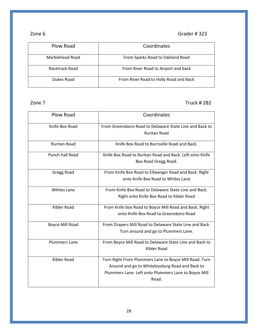### Zone 6 Grader # 323

| Plow Road       | Coordinates                            |
|-----------------|----------------------------------------|
| Marblehead Road | From Sparks Road to Oakland Road       |
| Racetrack Road  | From River Road to Airport and back    |
| Dukes Road      | From River Road to Holly Road and Back |

#### zone 7 Truck # 282

| <b>Plow Road</b>       | Coordinates                                                                                                                                                                |
|------------------------|----------------------------------------------------------------------------------------------------------------------------------------------------------------------------|
| Knife Box Road         | From Greensboro Road to Delaware State Line and Back to<br><b>Ruritan Road</b>                                                                                             |
| <b>Ruritan Road</b>    | Knife Box Road to Burrsville Road and Back.                                                                                                                                |
| <b>Punch hall Road</b> | Knife Box Road to Ruritan Road and Back. Left onto Knife<br>Box Road Gregg Road.                                                                                           |
| Gregg Road             | From Knife Box Road to Ellwanger Road and Back. Right<br>onto Knife Box Road to Whites Lane                                                                                |
| <b>Whites Lane</b>     | From Knife Box Road to Delaware State Line and Back.<br>Right onto Knife Box Road to Kibler Road                                                                           |
| Kibler Road            | From Knife box Road to Boyce Mill Road and Back. Right<br>onto Knife Box Road to Greensboro Road                                                                           |
| <b>Boyce Mill Road</b> | From Drapers Mill Road to Delaware State Line and Back.<br>Turn around and go to Plummers Lane.                                                                            |
| <b>Plummers Lane</b>   | From Boyce Mill Road to Delaware State Line and Back to<br>Kibler Road                                                                                                     |
| <b>Kibler Road</b>     | Turn Right From Plummers Lane to Boyce Mill Road. Turn<br>Around and go to Whiteleysburg Road and Back to<br>Plummers Lane. Left onto Plummers Lane to Boyce Mill<br>Road. |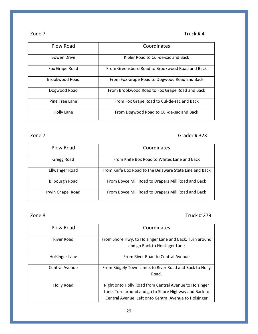### Zone 7 Truck # 4

| Plow Road          | Coordinates                                     |
|--------------------|-------------------------------------------------|
| <b>Bowen Drive</b> | Kibler Road to Cul-de-sac and Back              |
| Fox Grape Road     | From Greensboro Road to Brookwood Road and Back |
| Brookwood Road     | From Fox Grape Road to Dogwood Road and Back    |
| Dogwood Road       | From Brookwood Road to Fox Grape Road and Back  |
| Pine Tree Lane     | From Fox Grape Road to Cul-de-sac and Back      |
| Holly Lane         | From Dogwood Road to Cul-de-sac and Back        |

### Zone 7 Grader # 323

| Plow Road             | Coordinates                                             |
|-----------------------|---------------------------------------------------------|
| Gregg Road            | From Knife Box Road to Whites Lane and Back             |
| Ellwanger Road        | From Knife Box Road to the Delaware State Line and Back |
| <b>Bilbourgh Road</b> | From Boyce Mill Road to Drapers Mill Road and Back      |
| Irwin Chapel Road     | From Boyce Mill Road to Drapers Mill Road and Back      |

Zone 8 Truck # 279

| Plow Road         | Coordinates                                                                                                                                                              |
|-------------------|--------------------------------------------------------------------------------------------------------------------------------------------------------------------------|
| River Road        | From Shore Hwy. to Holsinger Lane and Back. Turn around<br>and go Back to Holsinger Lane                                                                                 |
| Holsinger Lane    | From River Road to Central Avenue                                                                                                                                        |
| Central Avenue    | From Ridgely Town Limits to River Road and Back to Holly<br>Road.                                                                                                        |
| <b>Holly Road</b> | Right onto Holly Road from Central Avenue to Holsinger<br>Lane. Turn around and go to Shore Highway and Back to<br>Central Avenue. Left onto Central Avenue to Holsinger |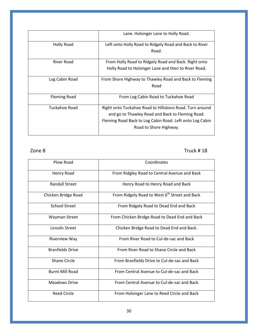|                     | Lane. Holsinger Lane to Holly Road.                      |
|---------------------|----------------------------------------------------------|
| <b>Holly Road</b>   | Left onto Holly Road to Ridgely Road and Back to River   |
|                     | Road.                                                    |
| River Road          | From Holly Road to Ridgely Road and Back. Right onto     |
|                     | Holly Road to Holsinger Lane and then to River Road.     |
| Log Cabin Road      | From Shore Highway to Thawley Road and Back to Fleming   |
|                     | Road                                                     |
| <b>Fleming Road</b> | From Log Cabin Road to Tuckahoe Road                     |
| Tuckahoe Road       | Right onto Tuckahoe Road to Hillsboro Road. Turn around  |
|                     | and go to Thawley Road and Back to Fleming Road.         |
|                     | Fleming Road Back to Log Cabin Road. Left onto Log Cabin |
|                     | Road to Shore Highway.                                   |

Zone 8 Truck # 18

| Plow Road               | Coordinates                                               |
|-------------------------|-----------------------------------------------------------|
| Henry Road              | From Ridgley Road to Central Avenue and Back              |
| <b>Randall Street</b>   | Henry Road to Henry Road and Back                         |
| Chicken Bridge Road     | From Ridgely Road to West 6 <sup>th</sup> Street and Back |
| <b>School Street</b>    | From Ridgely Road to Dead End and Back                    |
| Wayman Street           | From Chicken Bridge Road to Dead End and Back             |
| Lincoln Street          | Chicken Bridge Road to Dead End and Back.                 |
| <b>Riverview Way</b>    | From River Road to Cul-de-sac and Back                    |
| <b>Branfields Drive</b> | From River Road to Shane Circle and Back                  |
| <b>Shane Circle</b>     | From Branfields Drive to Cul-de-sac and Back              |
| <b>Burnt Mill Road</b>  | From Central Avenue to Cul-de-sac and Back                |
| <b>Meadows Drive</b>    | From Central Avenue to Cul-de-sac and Back                |
| Reed Circle             | From Holsinger Lane to Reed Circle and Back               |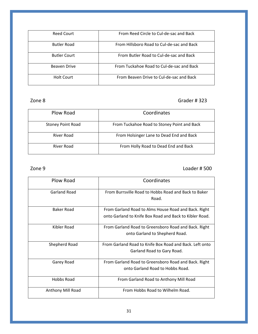| Reed Court          | From Reed Circle to Cul-de-sac and Back    |
|---------------------|--------------------------------------------|
| <b>Butler Road</b>  | From Hillsboro Road to Cul-de-sac and Back |
| <b>Butler Court</b> | From Butler Road to Cul-de-sac and Back    |
| Beaven Drive        | From Tuckahoe Road to Cul-de-sac and Back  |
| Holt Court          | From Beaven Drive to Cul-de-sac and Back   |

### Zone 8 Grader # 323

| Plow Road                | Coordinates                                 |
|--------------------------|---------------------------------------------|
| <b>Stoney Point Road</b> | From Tuckahoe Road to Stoney Point and Back |
| River Road               | From Holsinger Lane to Dead End and Back    |
| River Road               | From Holly Road to Dead End and Back        |

### Zone 9 Loader # 500

| Plow Road         | Coordinates                                             |
|-------------------|---------------------------------------------------------|
| Garland Road      | From Burrsville Road to Hobbs Road and Back to Baker    |
|                   | Road.                                                   |
| Baker Road        | From Garland Road to Alms House Road and Back. Right    |
|                   | onto Garland to Knife Box Road and Back to Kibler Road. |
| Kibler Road       | From Garland Road to Greensboro Road and Back. Right    |
|                   | onto Garland to Shepherd Road.                          |
| Shepherd Road     | From Garland Road to Knife Box Road and Back. Left onto |
|                   | Garland Road to Gary Road.                              |
| Garey Road        | From Garland Road to Greensboro Road and Back. Right    |
|                   | onto Garland Road to Hobbs Road.                        |
| Hobbs Road        | From Garland Road to Anthony Mill Road                  |
| Anthony Mill Road | From Hobbs Road to Wilhelm Road.                        |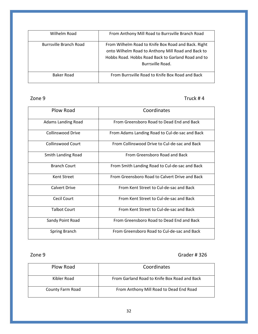| Wilhelm Road           | From Anthony Mill Road to Burrsville Branch Road    |
|------------------------|-----------------------------------------------------|
|                        |                                                     |
|                        |                                                     |
| Burrsville Branch Road | From Wilhelm Road to Knife Box Road and Back. Right |
|                        |                                                     |
|                        | onto Wilhelm Road to Anthony Mill Road and Back to  |
|                        | Hobbs Road. Hobbs Road Back to Garland Road and to  |
|                        |                                                     |
|                        | Burrsville Road.                                    |
|                        |                                                     |
|                        |                                                     |
| Baker Road             | From Burrsville Road to Knife Box Road and Back     |
|                        |                                                     |
|                        |                                                     |

Zone 9 Truck # 4

| Plow Road                 | Coordinates                                    |
|---------------------------|------------------------------------------------|
| <b>Adams Landing Road</b> | From Greensboro Road to Dead End and Back      |
| <b>Collinswood Drive</b>  | From Adams Landing Road to Cul-de-sac and Back |
| <b>Collinswood Court</b>  | From Collinswood Drive to Cul-de-sac and Back  |
| Smith Landing Road        | From Greensboro Road and Back                  |
| <b>Branch Court</b>       | From Smith Landing Road to Cul-de-sac and Back |
| Kent Street               | From Greensboro Road to Calvert Drive and Back |
| <b>Calvert Drive</b>      | From Kent Street to Cul-de-sac and Back        |
| Cecil Court               | From Kent Street to Cul-de-sac and Back        |
| <b>Talbot Court</b>       | From Kent Street to Cul-de-sac and Back        |
| Sandy Point Road          | From Greensboro Road to Dead End and Back      |
| <b>Spring Branch</b>      | From Greensboro Road to Cul-de-sac and Back    |

### Zone 9 Grader # 326

| Plow Road        | Coordinates                                  |
|------------------|----------------------------------------------|
| Kibler Road      | From Garland Road to Knife Box Road and Back |
| County Farm Road | From Anthony Mill Road to Dead End Road      |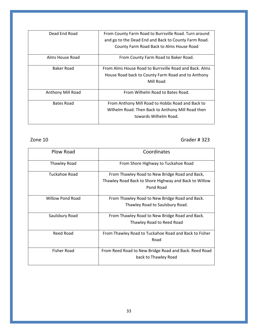| From County Farm Road to Burrsville Road. Turn around  |
|--------------------------------------------------------|
| and go to the Dead End and Back to County Farm Road.   |
| County Farm Road Back to Alms House Road               |
| From County Farm Road to Baker Road.                   |
| From Alms House Road to Burrsville Road and Back. Alms |
| House Road back to County Farm Road and to Anthony     |
| Mill Road                                              |
| From Wilhelm Road to Bates Road.                       |
| From Anthony Mill Road to Hobbs Road and Back to       |
| Wilhelm Road. Then Back to Anthony Mill Road then      |
| towards Wilhelm Road.                                  |
|                                                        |

Zone 10 Grader # 323

| Plow Road               | Coordinates                                           |
|-------------------------|-------------------------------------------------------|
| Thawley Road            | From Shore Highway to Tuckahoe Road                   |
| Tuckahoe Road           | From Thawley Road to New Bridge Road and Back,        |
|                         | Thawley Road Back to Shore Highway and Back to Willow |
|                         | Pond Road                                             |
| <b>Willow Pond Road</b> | From Thawley Road to New Bridge Road and Back.        |
|                         | Thawley Road to Saulsbury Road.                       |
| Saulsbury Road          | From Thawley Road to New Bridge Road and Back.        |
|                         | Thawley Road to Reed Road                             |
| Reed Road               | From Thawley Road to Tuckahoe Road and Back to Fisher |
|                         | Road                                                  |
| Fisher Road             | From Reed Road to New Bridge Road and Back. Reed Road |
|                         | back to Thawley Road                                  |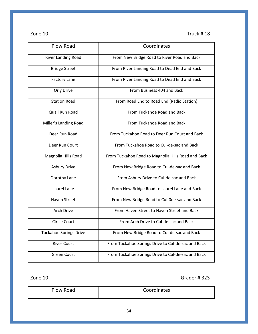Zone 10 Truck # 18

| Plow Road                     | Coordinates                                        |  |
|-------------------------------|----------------------------------------------------|--|
| River Landing Road            | From New Bridge Road to River Road and Back        |  |
| <b>Bridge Street</b>          | From River Landing Road to Dead End and Back       |  |
| <b>Factory Lane</b>           | From River Landing Road to Dead End and Back       |  |
| Orly Drive                    | From Business 404 and Back                         |  |
| <b>Station Road</b>           | From Road End to Road End (Radio Station)          |  |
| Quail Run Road                | From Tuckahoe Road and Back                        |  |
| Miller's Landing Road         | From Tuckahoe Road and Back                        |  |
| Deer Run Road                 | From Tuckahoe Road to Deer Run Court and Back      |  |
| Deer Run Court                | From Tuckahoe Road to Cul-de-sac and Back          |  |
| Magnolia Hills Road           | From Tuckahoe Road to Magnolia Hills Road and Back |  |
| <b>Asbury Drive</b>           | From New Bridge Road to Cul-de-sac and Back        |  |
| Dorothy Lane                  | From Asbury Drive to Cul-de-sac and Back           |  |
| Laurel Lane                   | From New Bridge Road to Laurel Lane and Back       |  |
| <b>Haven Street</b>           | From New Bridge Road to Cul-Ode-sac and Back       |  |
| Arch Drive                    | From Haven Street to Haven Street and Back         |  |
| <b>Circle Court</b>           | From Arch Drive to Cul-de-sac and Back             |  |
| <b>Tuckahoe Springs Drive</b> | From New Bridge Road to Cul-de-sac and Back        |  |
| <b>River Court</b>            | From Tuckahoe Springs Drive to Cul-de-sac and Back |  |
| <b>Green Court</b>            | From Tuckahoe Springs Drive to Cul-de-sac and Back |  |

Zone 10 Grader # 323

| Plow Road | Coordinates |
|-----------|-------------|
|           |             |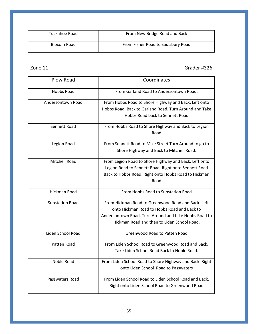| Tuckahoe Road | From New Bridge Road and Back      |
|---------------|------------------------------------|
| Bloxom Road   | From Fisher Road to Saulsbury Road |

### Zone 11 Grader #326

| Plow Road              | Coordinates                                             |  |
|------------------------|---------------------------------------------------------|--|
| Hobbs Road             | From Garland Road to Andersontown Road.                 |  |
| Andersontown Road      | From Hobbs Road to Shore Highway and Back. Left onto    |  |
|                        | Hobbs Road. Back to Garland Road. Turn Around and Take  |  |
|                        | Hobbs Road back to Sennett Road                         |  |
| Sennett Road           | From Hobbs Road to Shore Highway and Back to Legion     |  |
|                        | Road                                                    |  |
| Legion Road            | From Sennett Road to Mike Street Turn Around to go to   |  |
|                        | Shore Highway and Back to Mitchell Road.                |  |
| <b>Mitchell Road</b>   | From Legion Road to Shore Highway and Back. Left onto   |  |
|                        | Legion Road to Sennett Road. Right onto Sennett Road    |  |
|                        | Back to Hobbs Road. Right onto Hobbs Road to Hickman    |  |
|                        | Road                                                    |  |
| <b>Hickman Road</b>    | From Hobbs Road to Substation Road                      |  |
| <b>Substation Road</b> | From Hickman Road to Greenwood Road and Back. Left      |  |
|                        | onto Hickman Road to Hobbs Road and Back to             |  |
|                        | Andersontown Road. Turn Around and take Hobbs Road to   |  |
|                        | Hickman Road and then to Liden School Road.             |  |
| Liden School Road      | Greenwood Road to Patten Road                           |  |
| Patten Road            | From Liden School Road to Greenwood Road and Back.      |  |
|                        | Take Liden School Road Back to Noble Road.              |  |
| Noble Road             | From Liden School Road to Shore Highway and Back. Right |  |
|                        | onto Liden School Road to Passwaters                    |  |
| Passwaters Road        | From Liden School Road to Liden School Road and Back.   |  |
|                        | Right onto Liden School Road to Greenwood Road          |  |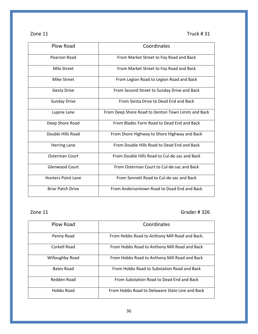| zone |  |  |
|------|--|--|
|------|--|--|

Truck  $# 31$ 

| Plow Road                 | Coordinates                                         |
|---------------------------|-----------------------------------------------------|
| Pearson Road              | From Market Street to Foy Road and Back             |
| Mila Street               | From Market Street to Foy Road and Back             |
| Mike Street               | From Legion Road to Legion Road and Back            |
| Siesta Drive              | From Second Street to Sunday Drive and Back         |
| <b>Sunday Drive</b>       | From Siesta Drive to Dead End and Back              |
| Lupine Lane               | From Deep Shore Road to Denton Town Limits and Back |
| Deep Shore Road           | From Blades Farm Road to Dead End and Back          |
| Double Hills Road         | From Shore Highway to Shore Highway and Back        |
| <b>Herring Lane</b>       | From Double Hills Road to Dead End and Back         |
| Osterman Court            | From Double Hills Road to Cul-de-sac and Back       |
| <b>Glenwood Court</b>     | From Osterman Court to Cul-de-sac and Back          |
| <b>Hunters Point Lane</b> | From Sennett Road to Cul-de-sac and Back            |
| <b>Briar Patch Drive</b>  | From Andersontown Road to Dead Fnd and Back         |

zone 11 Grader # 326

| Plow Road              | Coordinates                                     |
|------------------------|-------------------------------------------------|
| Penny Road             | From Hobbs Road to Anthony Mill Road and Back.  |
| Corkell Road           | From Hobbs Road to Anthony Mill Road and Back   |
| <b>Willoughby Road</b> | From Hobbs Road to Anthony Mill Road and Back   |
| Bates Road             | From Hobbs Road to Substation Road and Back     |
| Redden Road            | From Substation Road to Dead End and Back       |
| Hobbs Road             | From Hobbs Road to Delaware State Line and Back |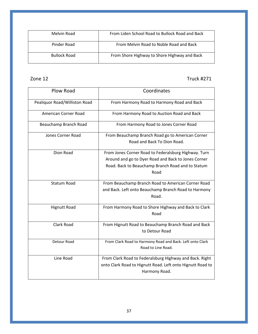| Melvin Road         | From Liden School Road to Bullock Road and Back |
|---------------------|-------------------------------------------------|
| Pinder Road         | From Melvin Road to Noble Road and Back         |
| <b>Bullock Road</b> | From Shore Highway to Shore Highway and Back    |

Zone 12 Truck #271

| Plow Road                     | Coordinates                                                |
|-------------------------------|------------------------------------------------------------|
| Pealiquor Road/Williston Road | From Harmony Road to Harmony Road and Back                 |
| American Corner Road          | From Harmony Road to Auction Road and Back                 |
| Beauchamp Branch Road         | From Harmony Road to Jones Corner Road                     |
| Jones Corner Road             | From Beauchamp Branch Road go to American Corner           |
|                               | Road and Back To Dion Road.                                |
| Dion Road                     | From Jones Corner Road to Federalsburg Highway. Turn       |
|                               | Around and go to Dyer Road and Back to Jones Corner        |
|                               | Road. Back to Beauchamp Branch Road and to Statum          |
|                               | Road                                                       |
| <b>Statum Road</b>            | From Beauchamp Branch Road to American Corner Road         |
|                               | and Back. Left onto Beauchamp Branch Road to Harmony       |
|                               | Road.                                                      |
| <b>Hignutt Road</b>           | From Harmony Road to Shore Highway and Back to Clark       |
|                               | Road                                                       |
| Clark Road                    | From Hignutt Road to Beauchamp Branch Road and Back        |
|                               | to Detour Road                                             |
| <b>Detour Road</b>            | From Clark Road to Harmony Road and Back. Left onto Clark  |
|                               | Road to Line Road.                                         |
| Line Road                     | From Clark Road to Federalsburg Highway and Back. Right    |
|                               | onto Clark Road to Hignutt Road. Left onto Hignutt Road to |
|                               | Harmony Road.                                              |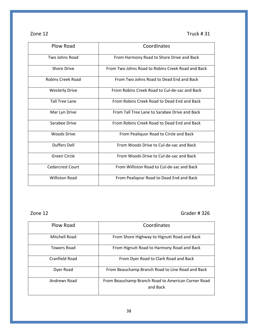### Zone 12 Truck # 31

| Plow Road                | Coordinates                                       |
|--------------------------|---------------------------------------------------|
| Two Johns Road           | From Harmony Road to Shore Drive and Back         |
| <b>Shore Drive</b>       | From Two Johns Road to Robins Creek Road and Back |
| <b>Robins Creek Road</b> | From Two Johns Road to Dead End and Back          |
| <b>Westerly Drive</b>    | From Robins Creek Road to Cul-de-sac and Back     |
| Tall Tree Lane           | From Robins Creek Road to Dead End and Back       |
| Mar Lyn Drive            | From Tall Tree Lane to Sarabee Drive and Back     |
| Sarabee Drive            | From Robins Creek Road to Dead End and Back       |
| Woods Drive              | From Pealiquor Road to Circle and Back            |
| <b>Duffers Dell</b>      | From Woods Drive to Cul-de-sac and Back           |
| Green Circle             | From Woods Drive to Cul-de-sac and Back           |
| <b>Cedarcrest Court</b>  | From Williston Road to Cul-de-sac and Back        |
| <b>Williston Road</b>    | From Pealiqour Road to Dead End and Back          |

zone 12 Grader # 326

| Plow Road          | Coordinates                                        |
|--------------------|----------------------------------------------------|
| Mitchell Road      | From Shore Highway to Hignutt Road and Back        |
| <b>Towers Road</b> | From Hignutt Road to Harmony Road and Back         |
| Cranfield Road     | From Dyer Road to Clark Road and Back              |
| Dyer Road          | From Beauchamp Branch Road to Line Road and Back   |
| Andrews Road       | From Beauchamp Branch Road to American Corner Road |
|                    | and Back                                           |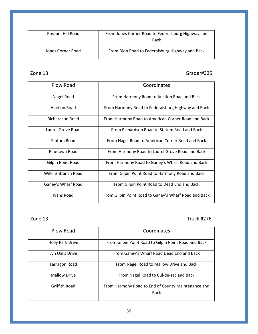| Possum Hill Road  | From Jones Corner Road to Federalsburg Highway and<br>Back |
|-------------------|------------------------------------------------------------|
| Jones Corner Road | From Dion Road to Federalsburg Highway and Back            |

#### Zone 13 Grader#325

| Plow Road                  | Coordinates                                           |
|----------------------------|-------------------------------------------------------|
| Nagel Road                 | From Harmony Road to Auction Road and Back            |
| <b>Auction Road</b>        | From Harmony Road to Federalsburg Highway and Back    |
| Richardson Road            | From Harmony Road to American Corner Road and Back    |
| Laurel Grove Road          | From Richardson Road to Statum Road and Back          |
| Statum Road                | From Nagel Road to American Corner Road and Back      |
| Pinetown Road              | From Harmony Road to Laurel Grove Road and Back       |
| <b>Gilpin Point Road</b>   | From Harmony Road to Ganey's Wharf Road and Back      |
| <b>Wilkins Branch Road</b> | From Gilpin Point Road to Harmony Road and Back       |
| Ganey's Wharf Road         | From Gilpin Point Road to Dead End and Back           |
| Ivans Road                 | From Gilpin Point Road to Ganey's Wharf Road and Back |

#### Zone 13 Truck #276

| Plow Road               | Coordinates                                                       |
|-------------------------|-------------------------------------------------------------------|
| <b>Holly Park Drive</b> | From Gilpin Point Road to Gilpin Point Road and Back              |
| Lyn Oaks Drive          | From Ganey's Wharf Road Dead End and Back                         |
| Tarragon Road           | From Nagel Road to Mallow Drive and Back                          |
| <b>Mallow Drive</b>     | From Nagel Road to Cul-de-sac and Back                            |
| Griffith Road           | From Harmony Road to End of County Maintenance and<br><b>Back</b> |
|                         |                                                                   |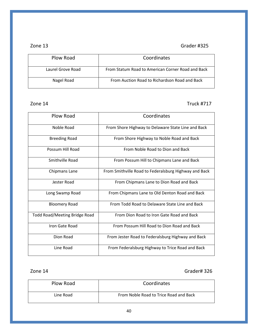#### zone 13 Grader #325

| Plow Road         | Coordinates                                       |
|-------------------|---------------------------------------------------|
| Laurel Grove Road | From Statum Road to American Corner Road and Back |
| Nagel Road        | From Auction Road to Richardson Road and Back     |

#### Zone 14 Truck #717

| Plow Road                            | Coordinates                                           |
|--------------------------------------|-------------------------------------------------------|
| Noble Road                           | From Shore Highway to Delaware State Line and Back    |
| <b>Breeding Road</b>                 | From Shore Highway to Noble Road and Back             |
| Possum Hill Road                     | From Noble Road to Dion and Back                      |
| Smithville Road                      | From Possum Hill to Chipmans Lane and Back            |
| Chipmans Lane                        | From Smithville Road to Federalsburg Highway and Back |
| Jester Road                          | From Chipmans Lane to Dion Road and Back              |
| Long Swamp Road                      | From Chipmans Lane to Old Denton Road and Back        |
| <b>Bloomery Road</b>                 | From Todd Road to Delaware State Line and Back        |
| <b>Todd Road/Meeting Bridge Road</b> | From Dion Road to Iron Gate Road and Back             |
| Iron Gate Road                       | From Possum Hill Road to Dion Road and Back           |
| Dion Road                            | From Jester Road to Federalsburg Highway and Back     |
| Line Road                            | From Federalsburg Highway to Trice Road and Back      |

#### Zone 14 Grader# 326

| Plow Road | Coordinates                            |
|-----------|----------------------------------------|
| Line Road | From Noble Road to Trice Road and Back |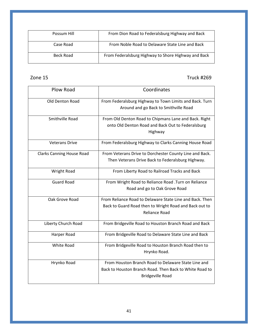| Possum Hill | From Dion Road to Federalsburg Highway and Back     |
|-------------|-----------------------------------------------------|
| Case Road   | From Noble Road to Delaware State Line and Back     |
| Beck Road   | From Federalsburg Highway to Shore Highway and Back |

### Zone 15 Truck #269

| Plow Road                        | Coordinates                                                                                                                               |
|----------------------------------|-------------------------------------------------------------------------------------------------------------------------------------------|
| Old Denton Road                  | From Federalsburg Highway to Town Limits and Back. Turn<br>Around and go Back to Smithville Road                                          |
| Smithville Road                  | From Old Denton Road to Chipmans Lane and Back. Right<br>onto Old Denton Road and Back Out to Federalsburg<br>Highway                     |
| <b>Veterans Drive</b>            | From Federalsburg Highway to Clarks Canning House Road                                                                                    |
| <b>Clarks Canning House Road</b> | From Veterans Drive to Dorchester County Line and Back.<br>Then Veterans Drive Back to Federalsburg Highway.                              |
| <b>Wright Road</b>               | From Liberty Road to Railroad Tracks and Back                                                                                             |
| <b>Guard Road</b>                | From Wright Road to Reliance Road .Turn on Reliance<br>Road and go to Oak Grove Road                                                      |
| Oak Grove Road                   | From Reliance Road to Delaware State Line and Back. Then<br>Back to Guard Road then to Wright Road and Back out to<br>Reliance Road       |
| Liberty Church Road              | From Bridgeville Road to Houston Branch Road and Back                                                                                     |
| Harper Road                      | From Bridgeville Road to Delaware State Line and Back                                                                                     |
| White Road                       | From Bridgeville Road to Houston Branch Road then to<br>Hrynko Road.                                                                      |
| Hrynko Road                      | From Houston Branch Road to Delaware State Line and<br>Back to Houston Branch Road. Then Back to White Road to<br><b>Bridgeville Road</b> |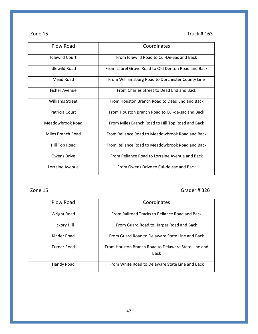Zone 15 Truck # 163

| Plow Road              | Coordinates                                        |
|------------------------|----------------------------------------------------|
| <b>Idlewild Court</b>  | From Idlewild Road to Cul-De-Sac and Back          |
| <b>Idlewild Road</b>   | From Laurel Grove Road to Old Denton Road and Back |
| Mead Road              | From Williamsburg Road to Dorchester County Line   |
| <b>Fisher Avenue</b>   | From Charles Street to Dead Fnd and Back           |
| <b>Williams Street</b> | From Houston Branch Road to Dead End and Back      |
| Patricia Court         | From Houston Branch Road to Cul-de-sac and Back    |
| Meadowbrook Road       | From Miles Branch Road to Hill Top Road and Back   |
| Miles Branch Road      | From Reliance Road to Meadowbrook Road and Back    |
| Hill Top Road          | From Reliance Road to Meadowbrook Road and Back    |
| <b>Owens Drive</b>     | From Reliance Road to Lorraine Avenue and Back     |
| Lorraine Avenue        | From Owens Drive to Cul-de-sac and Back            |

# Zone 15 Grader # 326

| Plow Road           | Coordinates                                         |
|---------------------|-----------------------------------------------------|
| <b>Wright Road</b>  | From Railroad Tracks to Reliance Road and Back      |
| <b>Hickory Hill</b> | From Guard Road to Harper Road and Back             |
| Kinder Road         | From Guard Road to Delaware State Line and Back     |
| Turner Road         | From Houston Branch Road to Delaware State Line and |
|                     | <b>Back</b>                                         |
| Handy Road          | From White Road to Delaware State Line and Back     |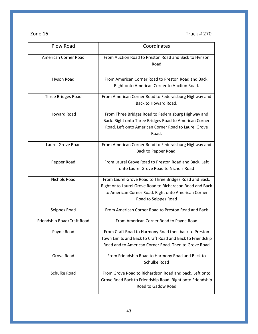| Zone 16 |  |
|---------|--|
|---------|--|

| Plow Road                  | Coordinates                                                                                                                                                                                       |
|----------------------------|---------------------------------------------------------------------------------------------------------------------------------------------------------------------------------------------------|
| American Corner Road       | From Auction Road to Preston Road and Back to Hynson<br>Road                                                                                                                                      |
| Hyson Road                 | From American Corner Road to Preston Road and Back.<br>Right onto American Corner to Auction Road.                                                                                                |
| Three Bridges Road         | From American Corner Road to Federalsburg Highway and<br>Back to Howard Road.                                                                                                                     |
| <b>Howard Road</b>         | From Three Bridges Road to Federalsburg Highway and<br>Back. Right onto Three Bridges Road to American Corner<br>Road. Left onto American Corner Road to Laurel Grove<br>Road.                    |
| Laurel Grove Road          | From American Corner Road to Federalsburg Highway and<br>Back to Pepper Road.                                                                                                                     |
| Pepper Road                | From Laurel Grove Road to Preston Road and Back. Left<br>onto Laurel Grove Road to Nichols Road                                                                                                   |
| Nichols Road               | From Laurel Grove Road to Three Bridges Road and Back.<br>Right onto Laurel Grove Road to Richardson Road and Back<br>to American Corner Road. Right onto American Corner<br>Road to Seippes Road |
| Seippes Road               | From American Corner Road to Preston Road and Back                                                                                                                                                |
| Friendship Road/Craft Road | From American Corner Road to Payne Road                                                                                                                                                           |
| Payne Road                 | From Craft Road to Harmony Road then back to Preston<br>Town Limits and Back to Craft Road and Back to Friendship<br>Road and to American Corner Road. Then to Grove Road                         |
| Grove Road                 | From Friendship Road to Harmony Road and Back to<br>Schulke Road                                                                                                                                  |
| <b>Schulke Road</b>        | From Grove Road to Richardson Road and back. Left onto<br>Grove Road Back to Friendship Road. Right onto Friendship<br>Road to Gadow Road                                                         |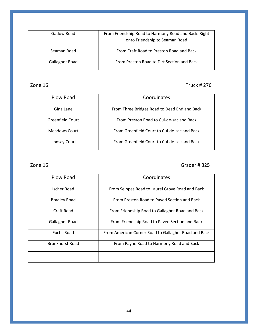| Gadow Road     | From Friendship Road to Harmony Road and Back. Right<br>onto Friendship to Seaman Road |
|----------------|----------------------------------------------------------------------------------------|
| Seaman Road    | From Craft Road to Preston Road and Back                                               |
| Gallagher Road | From Preston Road to Dirt Section and Back                                             |

### Zone 16 Truck # 276

| Plow Road        | Coordinates                                  |
|------------------|----------------------------------------------|
| Gina Lane        | From Three Bridges Road to Dead End and Back |
| Greenfield Court | From Preston Road to Cul-de-sac and Back     |
| Meadows Court    | From Greenfield Court to Cul-de-sac and Back |
| Lindsay Court    | From Greenfield Court to Cul-de-sac and Back |

### zone 16 Grader # 325

| Plow Road              | Coordinates                                          |
|------------------------|------------------------------------------------------|
| Ischer Road            | From Seippes Road to Laurel Grove Road and Back      |
| <b>Bradley Road</b>    | From Preston Road to Paved Section and Back          |
| Craft Road             | From Friendship Road to Gallagher Road and Back      |
| Gallagher Road         | From Friendship Road to Paved Section and Back       |
| <b>Fuchs Road</b>      | From American Corner Road to Gallagher Road and Back |
| <b>Brunkhorst Road</b> | From Payne Road to Harmony Road and Back             |
|                        |                                                      |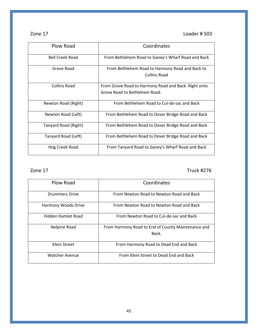Zone 17 Loader # 503

| Plow Road              | Coordinates                                                                           |
|------------------------|---------------------------------------------------------------------------------------|
| <b>Bell Creek Road</b> | From Bethlehem Road to Ganey's Wharf Road and Back                                    |
| Grove Road             | From Bethlehem Road to Harmony Road and Back to<br><b>Collins Road</b>                |
| Collins Road           | From Grove Road to Harmony Road and Back. Right onto<br>Grove Road to Bethlehem Road. |
| Newton Road (Right)    | From Bethlehem Road to Cul-de-sac and Back                                            |
| Newton Road (Left)     | From Bethlehem Road to Dover Bridge Road and Back                                     |
| Tanyard Road (Right)   | From Bethlehem Road to Dover Bridge Road and Back                                     |
| Tanyard Road (Left)    | From Bethlehem Road to Dover Bridge Road and Back                                     |
| Hog Creek Road         | From Tanyard Road to Ganey's Wharf Road and Back                                      |

Zone 17 Truck #276

| Plow Road             | Coordinates                                                 |
|-----------------------|-------------------------------------------------------------|
| Drummers Drive        | From Newton Road to Newton Road and Back                    |
| Harmony Woods Drive   | From Newton Road to Newton Road and Back                    |
| Hidden Hamlet Road    | From Newton Road to Cul-de-sac and Back                     |
| Nelpine Road          | From Harmony Road to End of County Maintenance and<br>Back. |
| Klein Street          | From Harmony Road to Dead End and Back                      |
| <b>Watcher Avenue</b> | From Klein Street to Dead End and Back                      |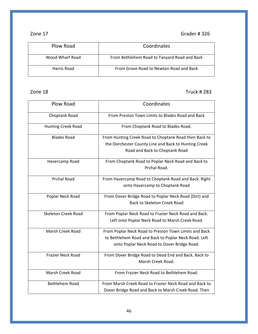### Zone 17 Grader # 326

| Plow Road       | Coordinates                                  |
|-----------------|----------------------------------------------|
| Wood Wharf Road | From Bethlehem Road to Tanyard Road and Back |
| Harris Road     | From Grove Road to Newton Road and Back      |

#### Zone 18 Truck # 283

| <b>Plow Road</b>           | Coordinates                                            |
|----------------------------|--------------------------------------------------------|
| Choptank Road              | From Preston Town Limits to Blades Road and Back       |
| Hunting Creek Road         | From Choptank Road to Blades Road.                     |
| <b>Blades Road</b>         | From Hunting Creek Road to Choptank Road then Back to  |
|                            | the Dorchester County Line and Back to Hunting Creek   |
|                            | Road and Back to Choptank Road                         |
| Havercamp Road             | From Choptank Road to Poplar Neck Road and Back to     |
|                            | Prchal Road.                                           |
| <b>Prchal Road</b>         | From Havercamp Road to Choptank Road and Back. Right   |
|                            | onto Havercamp to Choptank Road                        |
| Poplar Neck Road           | From Dover Bridge Road to Poplar Neck Road (Dirt) and  |
|                            | <b>Back to Skeleton Creek Road</b>                     |
| <b>Skeleton Creek Road</b> | From Poplar Neck Road to Frazier Neck Road and Back.   |
|                            | Left onto Poplar Neck Road to Marsh Creek Road.        |
| Marsh Creek Road           | From Poplar Neck Road to Preston Town Limits and Back  |
|                            | to Bethlehem Road and Back to Poplar Neck Road. Left   |
|                            | onto Poplar Neck Road to Dover Bridge Road.            |
| <b>Frazier Neck Road</b>   | From Dover Bridge Road to Dead End and Back. Back to   |
|                            | Marsh Creek Road.                                      |
| Marsh Creek Road           | From Frazier Neck Road to Bethlehem Road.              |
| <b>Bethlehem Road</b>      | From Marsh Creek Road to Frazier Neck Road and Back to |
|                            | Dover Bridge Road and Back to Marsh Creek Road. Then   |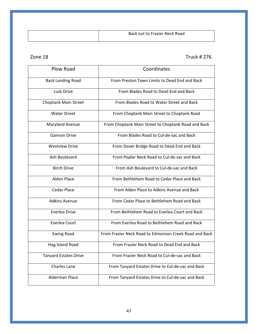| Back out to Frazier Neck Road |
|-------------------------------|
|                               |

### Zone 18 Truck # 276

| Plow Road                    | Coordinates                                            |
|------------------------------|--------------------------------------------------------|
| <b>Back Landing Road</b>     | From Preston Town Limits to Dead End and Back          |
| Lusk Drive                   | From Blades Road to Dead End and Back                  |
| Choptank Main Street         | From Blades Road to Water Street and Back              |
| <b>Water Street</b>          | From Choptank Main Street to Choptank Road             |
| Maryland Avenue              | From Choptank Main Street to Choptank Road and Back    |
| <b>Gannon Drive</b>          | From Blades Road to Cul-de-sac and Back                |
| <b>Westview Drive</b>        | From Dover Bridge Road to Dead End and Back            |
| Ash Boulevard                | From Poplar Neck Road to Cul-de-sac and Back           |
| <b>Birch Drive</b>           | From Ash Boulevard to Cul-de-sac and Back              |
| Alden Place                  | From Bethlehem Road to Cedar Place and Back            |
| <b>Cedar Place</b>           | From Alden Place to Adkins Avenue and Back             |
| <b>Adkins Avenue</b>         | From Cedar Place to Bethlehem Road and Back            |
| <b>Everlea Drive</b>         | From Bethlehem Road to Everlea Court and Back          |
| Everlea Court                | From Everlea Road to Bethlehem Road and Back           |
| <b>Ewing Road</b>            | From Frazier Neck Road to Edmonson Creek Road and Back |
| Hog Island Road              | From Frazier Neck Road to Dead End and Back            |
| <b>Tanyard Estates Drive</b> | From Frazier Neck Road to Cul-de-sac and Back          |
| <b>Charles Lane</b>          | From Tanyard Estates Drive to Cul-de-sac and Back      |
| <b>Alderman Place</b>        | From Tanyard Estates Drive to Cul-de-sac and Back      |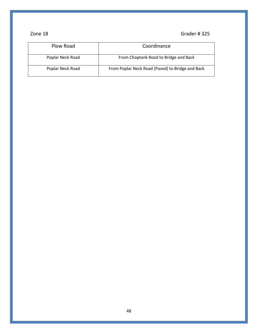### zone 18 Grader # 325

| Plow Road        | Coordinance                                      |
|------------------|--------------------------------------------------|
| Poplar Neck Road | From Choptank Road to Bridge and Back            |
| Poplar Neck Road | From Poplar Neck Road (Paved) to Bridge and Back |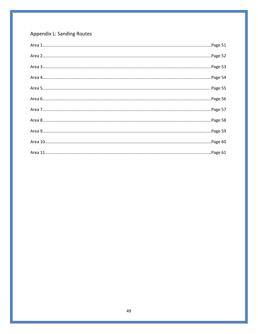# Appendix L: Sanding Routes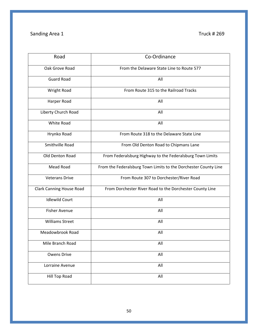# Sanding Area 1 Truck # 269

| Road                     | Co-Ordinance                                                    |
|--------------------------|-----------------------------------------------------------------|
| Oak Grove Road           | From the Delaware State Line to Route 577                       |
| <b>Guard Road</b>        | All                                                             |
| Wright Road              | From Route 315 to the Railroad Tracks                           |
| Harper Road              | All                                                             |
| Liberty Church Road      | All                                                             |
| <b>White Road</b>        | All                                                             |
| Hrynko Road              | From Route 318 to the Delaware State Line                       |
| Smithville Road          | From Old Denton Road to Chipmans Lane                           |
| Old Denton Road          | From Federalsburg Highway to the Federalsburg Town Limits       |
| Mead Road                | From the Federalsburg Town Limits to the Dorchester County Line |
| <b>Veterans Drive</b>    | From Route 307 to Dorchester/River Road                         |
| Clark Canning House Road | From Dorchester River Road to the Dorchester County Line        |
| <b>Idlewild Court</b>    | All                                                             |
| <b>Fisher Avenue</b>     | All                                                             |
| <b>Williams Street</b>   | All                                                             |
| Meadowbrook Road         | All                                                             |
| Mile Branch Road         | All                                                             |
| <b>Owens Drive</b>       | All                                                             |
| Lorraine Avenue          | All                                                             |
| Hill Top Road            | All                                                             |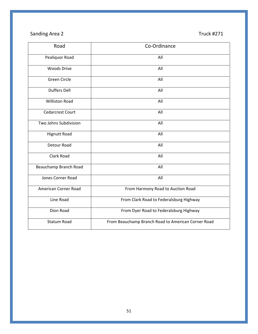# Sanding Area 2 Truck #271

| Road                    | Co-Ordinance                                       |
|-------------------------|----------------------------------------------------|
| Pealiquor Road          | All                                                |
| <b>Woods Drive</b>      | All                                                |
| Green Circle            | All                                                |
| <b>Duffers Dell</b>     | All                                                |
| <b>Williston Road</b>   | All                                                |
| <b>Cedarcrest Court</b> | All                                                |
| Two Johns Subdivision   | All                                                |
| <b>Hignutt Road</b>     | All                                                |
| Detour Road             | All                                                |
| Clark Road              | All                                                |
| Beauchamp Branch Road   | All                                                |
| Jones Corner Road       | All                                                |
| American Corner Road    | From Harmony Road to Auction Road                  |
| Line Road               | From Clark Road to Federalsburg Highway            |
| Dion Road               | From Dyer Road to Federalsburg Highway             |
| <b>Statum Road</b>      | From Beauchamp Branch Road to American Corner Road |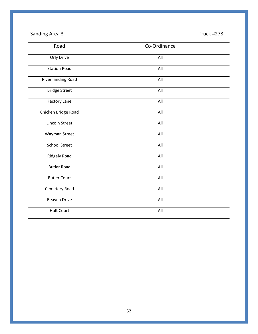# Sanding Area 3 Truck #278

| Road                 | Co-Ordinance |
|----------------------|--------------|
| Orly Drive           | All          |
| <b>Station Road</b>  | All          |
| River landing Road   | All          |
| <b>Bridge Street</b> | All          |
| Factory Lane         | All          |
| Chicken Bridge Road  | All          |
| Lincoln Street       | All          |
| Wayman Street        | All          |
| <b>School Street</b> | All          |
| Ridgely Road         | All          |
| <b>Butler Road</b>   | All          |
| <b>Butler Court</b>  | All          |
| Cemetery Road        | All          |
| <b>Beaven Drive</b>  | All          |
| <b>Holt Court</b>    | All          |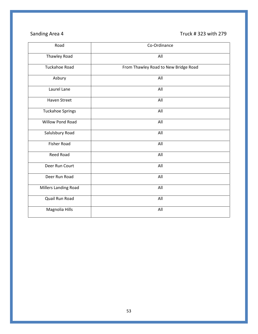# Sanding Area 4 Truck # 323 with 279

| Road                    | Co-Ordinance                         |
|-------------------------|--------------------------------------|
| Thawley Road            | All                                  |
| <b>Tuckahoe Road</b>    | From Thawley Road to New Bridge Road |
| Asbury                  | All                                  |
| Laurel Lane             | All                                  |
| <b>Haven Street</b>     | All                                  |
| <b>Tuckahoe Springs</b> | All                                  |
| <b>Willow Pond Road</b> | All                                  |
| Salulsbury Road         | All                                  |
| <b>Fisher Road</b>      | All                                  |
| Reed Road               | All                                  |
| Deer Run Court          | All                                  |
| Deer Run Road           | All                                  |
| Millers Landing Road    | All                                  |
| Quail Run Road          | All                                  |
| Magnolia Hills          | All                                  |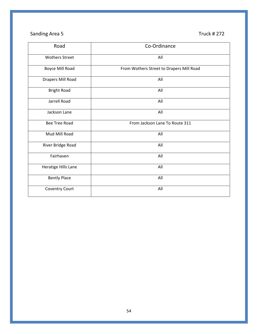# Sanding Area 5 Truck # 272

| Road                  | Co-Ordinance                             |
|-----------------------|------------------------------------------|
| <b>Wothers Street</b> | All                                      |
| Boyce Mill Road       | From Wothers Street to Drapers Mill Road |
| Drapers Mill Road     | All                                      |
| <b>Bright Road</b>    | All                                      |
| Jarrell Road          | All                                      |
| Jackson Lane          | All                                      |
| <b>Bee Tree Road</b>  | From Jackson Lane To Route 311           |
| Mud Mill Road         | All                                      |
| River Bridge Road     | All                                      |
| Fairhaven             | All                                      |
| Heratige Hills Lane   | All                                      |
| <b>Bently Place</b>   | All                                      |
| <b>Coventry Court</b> | All                                      |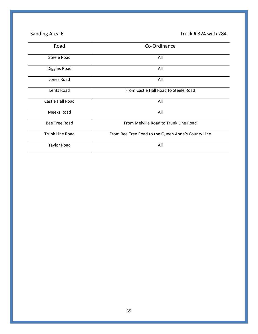# Sanding Area 6 Truck # 324 with 284

| Road               | Co-Ordinance                                       |
|--------------------|----------------------------------------------------|
| Steele Road        | All                                                |
| Diggins Road       | All                                                |
| Jones Road         | All                                                |
| Lents Road         | From Castle Hall Road to Steele Road               |
| Castle Hall Road   | All                                                |
| Meeks Road         | All                                                |
| Bee Tree Road      | From Melville Road to Trunk Line Road              |
| Trunk Line Road    | From Bee Tree Road to the Queen Anne's County Line |
| <b>Taylor Road</b> | All                                                |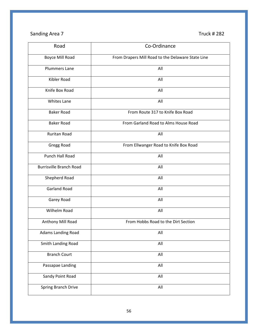# Sanding Area 7 Truck # 282

| Road                           | Co-Ordinance                                      |
|--------------------------------|---------------------------------------------------|
| Boyce Mill Road                | From Drapers Mill Road to the Delaware State Line |
| <b>Plummers Lane</b>           | All                                               |
| Kibler Road                    | All                                               |
| Knife Box Road                 | All                                               |
| <b>Whites Lane</b>             | All                                               |
| <b>Baker Road</b>              | From Route 317 to Knife Box Road                  |
| <b>Baker Road</b>              | From Garland Road to Alms House Road              |
| Ruritan Road                   | All                                               |
| Gregg Road                     | From Ellwanger Road to Knife Box Road             |
| Punch Hall Road                | All                                               |
| <b>Burrisville Branch Road</b> | All                                               |
| Shepherd Road                  | All                                               |
| <b>Garland Road</b>            | All                                               |
| Garey Road                     | All                                               |
| Wilhelm Road                   | All                                               |
| Anthony Mill Road              | From Hobbs Road to the Dirt Section               |
| Adams Landing Road             | All                                               |
| Smith Landing Road             | All                                               |
| <b>Branch Court</b>            | All                                               |
| Passapae Landing               | All                                               |
| Sandy Point Road               | All                                               |
| Spring Branch Drive            | All                                               |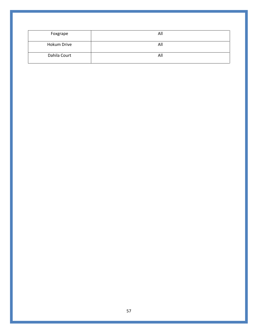| Foxgrape     | All |
|--------------|-----|
| Hokum Drive  | All |
| Dahila Court | All |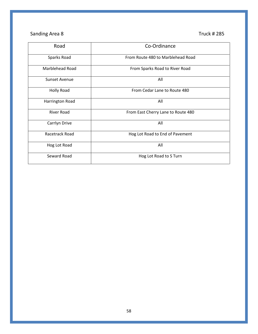# Sanding Area 8 Truck # 285

| Road                 | Co-Ordinance                       |
|----------------------|------------------------------------|
| Sparks Road          | From Route 480 to Marblehead Road  |
| Marblehead Road      | From Sparks Road to River Road     |
| <b>Sunset Avenue</b> | All                                |
| <b>Holly Road</b>    | From Cedar Lane to Route 480       |
| Harrington Road      | All                                |
| <b>River Road</b>    | From East Cherry Lane to Route 480 |
| Carrlyn Drive        | All                                |
| Racetrack Road       | Hog Lot Road to End of Pavement    |
| Hog Lot Road         | All                                |
| Seward Road          | Hog Lot Road to S Turn             |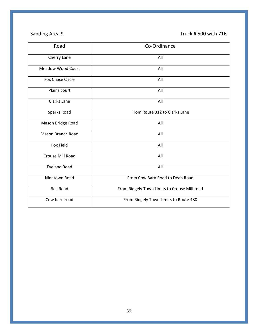# Sanding Area 9 Truck # 500 with 716

| Road                     | Co-Ordinance                                 |
|--------------------------|----------------------------------------------|
| Cherry Lane              | All                                          |
| <b>Meadow Wood Court</b> | All                                          |
| <b>Fox Chase Circle</b>  | All                                          |
| Plains court             | All                                          |
| Clarks Lane              | All                                          |
| Sparks Road              | From Route 312 to Clarks Lane                |
| Mason Bridge Road        | All                                          |
| <b>Mason Branch Road</b> | All                                          |
| Fox Field                | All                                          |
| Crouse Mill Road         | All                                          |
| <b>Eveland Road</b>      | All                                          |
| Ninetown Road            | From Cow Barn Road to Dean Road              |
| <b>Bell Road</b>         | From Ridgely Town Limits to Crouse Mill road |
| Cow barn road            | From Ridgely Town Limits to Route 480        |